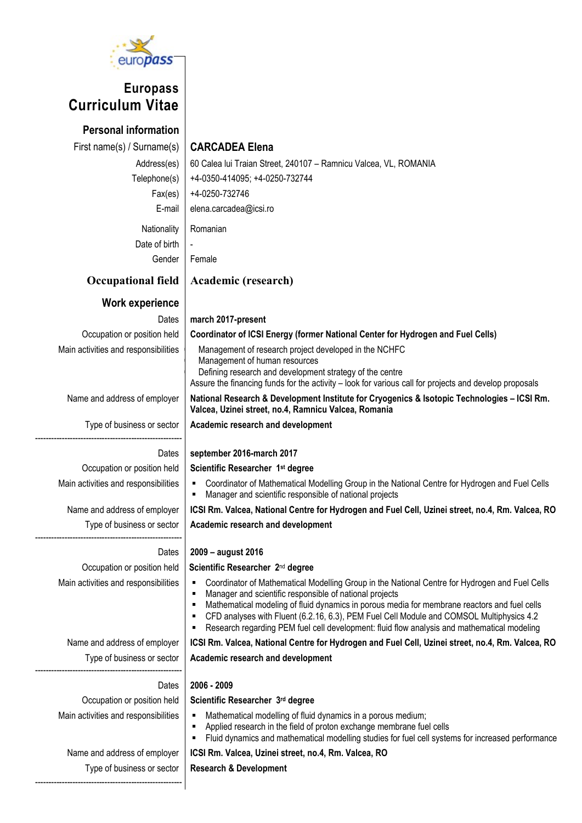

# Europass Curriculum Vitae

Personal information First name(s) / Surname(s) CARCADEA Elena Nationality | Romanian Date of birth

Management of human resources

Academic research and development

Academic research and development

Academic research and development

Scientific Researcher 3rd degree

Scientific Researcher 1st degree

Defining research and development strategy of the centre

Manager and scientific responsible of national projects

Valcea, Uzinei street, no.4, Ramnicu Valcea, Romania

Address(es) | 60 Calea lui Traian Street, 240107 - Ramnicu Valcea, VL, ROMANIA Telephone(s) +4-0350-414095; +4-0250-732744 Fax(es)  $+4-0250-732746$ E-mail elena.carcadea@icsi.ro Gender Female Occupational field | Academic (research)

# Work experience

Dates march 2017-present Occupation or position held Coordinator of ICSI Energy (former National Center for Hydrogen and Fuel Cells) Main activities and responsibilities  $\parallel$  Management of research project developed in the NCHFC

Name and address of employer | National Research & Development Institute for Cryogenics & Isotopic Technologies – ICSI Rm.

Type of business or sector

# Dates | september 2016-march 2017

Occupation or position held Main activities and responsibilities  $\vert \cdot \vert$  Coordinator of Mathematical Modelling Group in the National Centre for Hydrogen and Fuel Cells

-------------------------------------------------------

Name and address of employer | ICSI Rm. Valcea, National Centre for Hydrogen and Fuel Cell, Uzinei street, no.4, Rm. Valcea, RO

Type of business or sector -------------------------------------------------------

# Dates | 2009 – august 2016

Occupation or position held

- Scientific Researcher 2<sup>nd</sup> degree Main activities and responsibilities | Coordinator of Mathematical Modelling Group in the National Centre for Hydrogen and Fuel Cells **Manager and scientific responsible of national projects**<br>**Mathematical modeling of fluid dynamics in porous mea** 
	- Mathematical modeling of fluid dynamics in porous media for membrane reactors and fuel cells

Assure the financing funds for the activity – look for various call for projects and develop proposals

- CFD analyses with Fluent (6.2.16, 6.3), PEM Fuel Cell Module and COMSOL Multiphysics 4.2
- Research regarding PEM fuel cell development: fluid flow analysis and mathematical modeling

Name and address of employer | ICSI Rm. Valcea, National Centre for Hydrogen and Fuel Cell, Uzinei street, no.4, Rm. Valcea, RO Type of business or sector

# Dates | 2006 - 2009

Occupation or position held

-------------------------------------------------------

- Main activities and responsibilities  $\parallel \bullet \parallel$  Mathematical modelling of fluid dynamics in a porous medium;
	- **EXECT** Applied research in the field of proton exchange membrane fuel cells
	- Fluid dynamics and mathematical modelling studies for fuel cell systems for increased performance

# Name and address of employer | ICSI Rm. Valcea, Uzinei street, no.4, Rm. Valcea, RO

Research & Development

Type of business or sector -------------------------------------------------------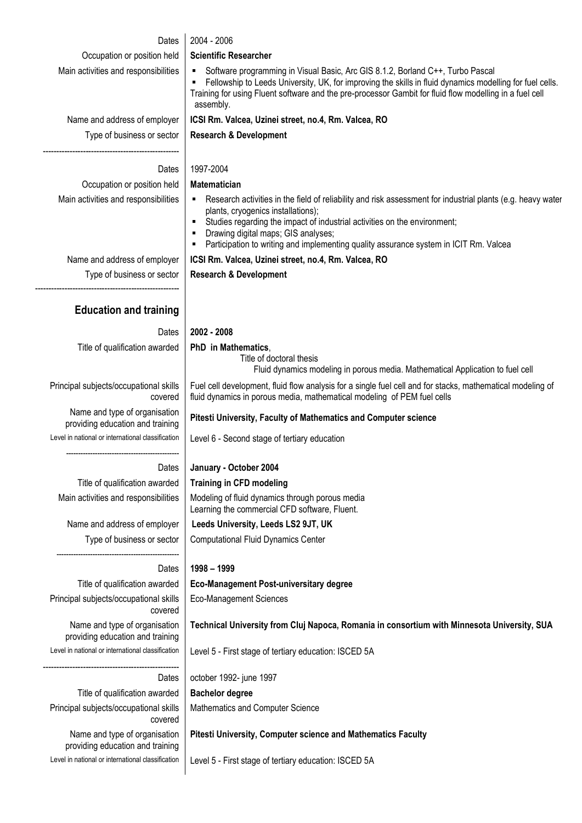| Dates                                                             | 2004 - 2006                                                                                                                                                                                                                                                                                                                                                                     |  |  |  |  |  |  |
|-------------------------------------------------------------------|---------------------------------------------------------------------------------------------------------------------------------------------------------------------------------------------------------------------------------------------------------------------------------------------------------------------------------------------------------------------------------|--|--|--|--|--|--|
| Occupation or position held                                       | <b>Scientific Researcher</b>                                                                                                                                                                                                                                                                                                                                                    |  |  |  |  |  |  |
| Main activities and responsibilities                              | Software programming in Visual Basic, Arc GIS 8.1.2, Borland C++, Turbo Pascal<br>٠<br>Fellowship to Leeds University, UK, for improving the skills in fluid dynamics modelling for fuel cells.<br>٠<br>Training for using Fluent software and the pre-processor Gambit for fluid flow modelling in a fuel cell<br>assembly.                                                    |  |  |  |  |  |  |
| Name and address of employer                                      | ICSI Rm. Valcea, Uzinei street, no.4, Rm. Valcea, RO                                                                                                                                                                                                                                                                                                                            |  |  |  |  |  |  |
| Type of business or sector                                        | <b>Research &amp; Development</b>                                                                                                                                                                                                                                                                                                                                               |  |  |  |  |  |  |
| Dates                                                             | 1997-2004                                                                                                                                                                                                                                                                                                                                                                       |  |  |  |  |  |  |
| Occupation or position held                                       | <b>Matematician</b>                                                                                                                                                                                                                                                                                                                                                             |  |  |  |  |  |  |
| Main activities and responsibilities                              | • Research activities in the field of reliability and risk assessment for industrial plants (e.g. heavy water<br>plants, cryogenics installations);<br>Studies regarding the impact of industrial activities on the environment;<br>٠<br>Drawing digital maps; GIS analyses;<br>٠<br>Participation to writing and implementing quality assurance system in ICIT Rm. Valcea<br>٠ |  |  |  |  |  |  |
| Name and address of employer                                      | ICSI Rm. Valcea, Uzinei street, no.4, Rm. Valcea, RO                                                                                                                                                                                                                                                                                                                            |  |  |  |  |  |  |
| Type of business or sector                                        | <b>Research &amp; Development</b>                                                                                                                                                                                                                                                                                                                                               |  |  |  |  |  |  |
| <b>Education and training</b>                                     |                                                                                                                                                                                                                                                                                                                                                                                 |  |  |  |  |  |  |
| Dates                                                             | 2002 - 2008                                                                                                                                                                                                                                                                                                                                                                     |  |  |  |  |  |  |
| Title of qualification awarded                                    | PhD in Mathematics,<br>Title of doctoral thesis<br>Fluid dynamics modeling in porous media. Mathematical Application to fuel cell                                                                                                                                                                                                                                               |  |  |  |  |  |  |
| Principal subjects/occupational skills<br>covered                 | Fuel cell development, fluid flow analysis for a single fuel cell and for stacks, mathematical modeling of<br>fluid dynamics in porous media, mathematical modeling of PEM fuel cells                                                                                                                                                                                           |  |  |  |  |  |  |
| Name and type of organisation<br>providing education and training | Pitesti University, Faculty of Mathematics and Computer science                                                                                                                                                                                                                                                                                                                 |  |  |  |  |  |  |
| Level in national or international classification                 | Level 6 - Second stage of tertiary education                                                                                                                                                                                                                                                                                                                                    |  |  |  |  |  |  |
| Dates                                                             | January - October 2004                                                                                                                                                                                                                                                                                                                                                          |  |  |  |  |  |  |
| Title of qualification awarded                                    | <b>Training in CFD modeling</b>                                                                                                                                                                                                                                                                                                                                                 |  |  |  |  |  |  |
| Main activities and responsibilities                              | Modeling of fluid dynamics through porous media<br>Learning the commercial CFD software, Fluent.                                                                                                                                                                                                                                                                                |  |  |  |  |  |  |
| Name and address of employer                                      | Leeds University, Leeds LS2 9JT, UK                                                                                                                                                                                                                                                                                                                                             |  |  |  |  |  |  |
| Type of business or sector                                        | <b>Computational Fluid Dynamics Center</b>                                                                                                                                                                                                                                                                                                                                      |  |  |  |  |  |  |
| Dates                                                             | 1998 - 1999                                                                                                                                                                                                                                                                                                                                                                     |  |  |  |  |  |  |
| Title of qualification awarded                                    | <b>Eco-Management Post-universitary degree</b>                                                                                                                                                                                                                                                                                                                                  |  |  |  |  |  |  |
| Principal subjects/occupational skills<br>covered                 | <b>Eco-Management Sciences</b>                                                                                                                                                                                                                                                                                                                                                  |  |  |  |  |  |  |
| Name and type of organisation<br>providing education and training | Technical University from Cluj Napoca, Romania in consortium with Minnesota University, SUA                                                                                                                                                                                                                                                                                     |  |  |  |  |  |  |
| Level in national or international classification                 | Level 5 - First stage of tertiary education: ISCED 5A                                                                                                                                                                                                                                                                                                                           |  |  |  |  |  |  |
| Dates                                                             | october 1992- june 1997                                                                                                                                                                                                                                                                                                                                                         |  |  |  |  |  |  |
| Title of qualification awarded                                    | <b>Bachelor degree</b>                                                                                                                                                                                                                                                                                                                                                          |  |  |  |  |  |  |
| Principal subjects/occupational skills<br>covered                 | Mathematics and Computer Science                                                                                                                                                                                                                                                                                                                                                |  |  |  |  |  |  |
| Name and type of organisation<br>providing education and training | Pitesti University, Computer science and Mathematics Faculty                                                                                                                                                                                                                                                                                                                    |  |  |  |  |  |  |
| Level in national or international classification                 | Level 5 - First stage of tertiary education: ISCED 5A                                                                                                                                                                                                                                                                                                                           |  |  |  |  |  |  |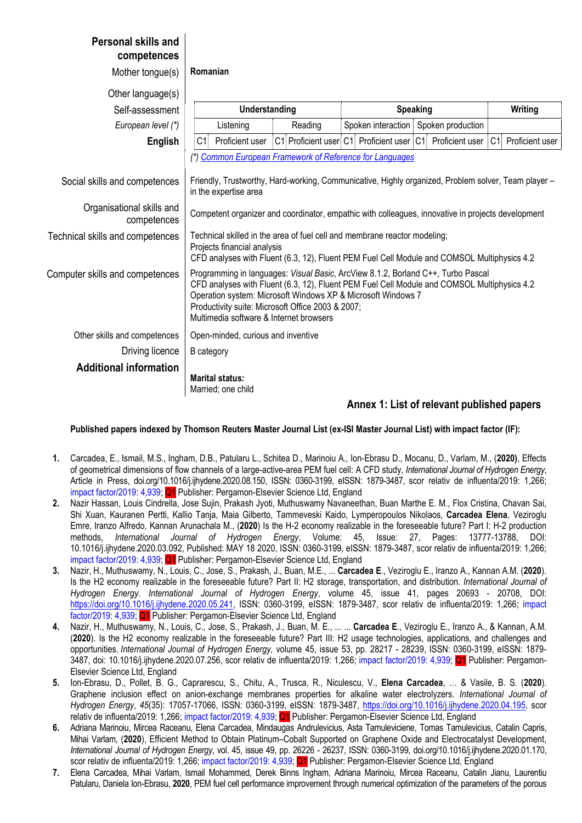| competences                              |                                                                                                                                                                                                                                                                                                                                                 |                                                          |  |                   |  |                                          |  |                 |    |                 |  |  |
|------------------------------------------|-------------------------------------------------------------------------------------------------------------------------------------------------------------------------------------------------------------------------------------------------------------------------------------------------------------------------------------------------|----------------------------------------------------------|--|-------------------|--|------------------------------------------|--|-----------------|----|-----------------|--|--|
| Mother tongue(s)                         | Romanian                                                                                                                                                                                                                                                                                                                                        |                                                          |  |                   |  |                                          |  |                 |    |                 |  |  |
| Other language(s)                        |                                                                                                                                                                                                                                                                                                                                                 |                                                          |  |                   |  |                                          |  |                 |    |                 |  |  |
| Self-assessment                          | Understanding                                                                                                                                                                                                                                                                                                                                   |                                                          |  | <b>Speaking</b>   |  |                                          |  | Writing         |    |                 |  |  |
| European level (*)                       |                                                                                                                                                                                                                                                                                                                                                 | Spoken interaction<br>Listening<br>Reading               |  | Spoken production |  |                                          |  |                 |    |                 |  |  |
| <b>English</b>                           | C <sub>1</sub>                                                                                                                                                                                                                                                                                                                                  | Proficient user                                          |  |                   |  | C1 Proficient user C1 Proficient user C1 |  | Proficient user | C1 | Proficient user |  |  |
|                                          |                                                                                                                                                                                                                                                                                                                                                 | (*) Common European Framework of Reference for Languages |  |                   |  |                                          |  |                 |    |                 |  |  |
| Social skills and competences            | Friendly, Trustworthy, Hard-working, Communicative, Highly organized, Problem solver, Team player -<br>in the expertise area                                                                                                                                                                                                                    |                                                          |  |                   |  |                                          |  |                 |    |                 |  |  |
| Organisational skills and<br>competences | Competent organizer and coordinator, empathic with colleagues, innovative in projects development                                                                                                                                                                                                                                               |                                                          |  |                   |  |                                          |  |                 |    |                 |  |  |
| Technical skills and competences         | Technical skilled in the area of fuel cell and membrane reactor modeling;<br>Projects financial analysis<br>CFD analyses with Fluent (6.3, 12), Fluent PEM Fuel Cell Module and COMSOL Multiphysics 4.2                                                                                                                                         |                                                          |  |                   |  |                                          |  |                 |    |                 |  |  |
| Computer skills and competences          | Programming in languages: Visual Basic, ArcView 8.1.2, Borland C++, Turbo Pascal<br>CFD analyses with Fluent (6.3, 12), Fluent PEM Fuel Cell Module and COMSOL Multiphysics 4.2<br>Operation system: Microsoft Windows XP & Microsoft Windows 7<br>Productivity suite: Microsoft Office 2003 & 2007;<br>Multimedia software & Internet browsers |                                                          |  |                   |  |                                          |  |                 |    |                 |  |  |
| Other skills and competences             | Open-minded, curious and inventive                                                                                                                                                                                                                                                                                                              |                                                          |  |                   |  |                                          |  |                 |    |                 |  |  |
| Driving licence                          | <b>B</b> category                                                                                                                                                                                                                                                                                                                               |                                                          |  |                   |  |                                          |  |                 |    |                 |  |  |
| <b>Additional information</b>            |                                                                                                                                                                                                                                                                                                                                                 | <b>Marital status:</b><br>Married; one child             |  |                   |  |                                          |  |                 |    |                 |  |  |

Personal skills and

### Annex 1: List of relevant published papers

Published papers indexed by Thomson Reuters Master Journal List (ex-ISI Master Journal List) with impact factor (IF):

- 1. Carcadea, E., Ismail, M.S., Ingham, D.B., Patularu L., Schitea D., Marinoiu A., Ion-Ebrasu D., Mocanu, D., Varlam, M., (2020), Effects of geometrical dimensions of flow channels of a large-active-area PEM fuel cell: A CFD study, International Journal of Hydrogen Energy, Article in Press, doi.org/10.1016/j.ijhydene.2020.08.150, ISSN: 0360-3199, eISSN: 1879-3487, scor relativ de influenta/2019: 1,266; impact factor/2019: 4,939; Q1 Publisher: Pergamon-Elsevier Science Ltd, England
- 2. Nazir Hassan, Louis Cindrella, Jose Sujin, Prakash Jyoti, Muthuswamy Navaneethan, Buan Marthe E. M., Flox Cristina, Chavan Sai, Shi Xuan, Kauranen Pertti, Kallio Tanja, Maia Gilberto, Tammeveski Kaido, Lymperopoulos Nikolaos, Carcadea Elena, Veziroglu Emre, Iranzo Alfredo, Kannan Arunachala M., (2020) Is the H-2 economy realizable in the foreseeable future? Part I: H-2 production methods, International Journal of Hydrogen Energy, Volume: 45, Issue: 27, Pages: 13777-13788, DOI: 10.1016/j.ijhydene.2020.03.092, Published: MAY 18 2020, ISSN: 0360-3199, eISSN: 1879-3487, scor relativ de influenta/2019: 1,266; impact factor/2019: 4,939; Q1 Publisher: Pergamon-Elsevier Science Ltd, England
- 3. Nazir, H., Muthuswamy, N., Louis, C., Jose, S., Prakash, J., Buan, M.E., ... Carcadea E., Veziroglu E., Iranzo A., Kannan A.M. (2020). Is the H2 economy realizable in the foreseeable future? Part II: H2 storage, transportation, and distribution. International Journal of Hydrogen Energy. International Journal of Hydrogen Energy, volume 45, issue 41, pages 20693 - 20708, DOI: https://doi.org/10.1016/j.ijhydene.2020.05.241, ISSN: 0360-3199, eISSN: 1879-3487, scor relativ de influenta/2019: 1,266; impact factor/2019: 4,939; Q1 Publisher: Pergamon-Elsevier Science Ltd, England
- 4. Nazir, H., Muthuswamy, N., Louis, C., Jose, S., Prakash, J., Buan, M. E., ... ... Carcadea E., Veziroglu E., Iranzo A., & Kannan, A.M. (2020). Is the H2 economy realizable in the foreseeable future? Part III: H2 usage technologies, applications, and challenges and opportunities. International Journal of Hydrogen Energy, volume 45, issue 53, pp. 28217 - 28239, ISSN: 0360-3199, eISSN: 1879- 3487, doi: 10.1016/j.ijhydene.2020.07.256, scor relativ de influenta/2019: 1,266; impact factor/2019: 4,939; Q1 Publisher: Pergamon-Elsevier Science Ltd, England
- 5. Ion-Ebrasu, D., Pollet, B. G., Caprarescu, S., Chitu, A., Trusca, R., Niculescu, V., Elena Carcadea, … & Vasile, B. S. (2020). Graphene inclusion effect on anion-exchange membranes properties for alkaline water electrolyzers. International Journal of Hydrogen Energy, 45(35): 17057-17066, ISSN: 0360-3199, eISSN: 1879-3487, https://doi.org/10.1016/j.ijhydene.2020.04.195, scor relativ de influenta/2019: 1,266; impact factor/2019: 4,939; Q1 Publisher: Pergamon-Elsevier Science Ltd, England
- 6. Adriana Marinoiu, Mircea Raceanu, Elena Carcadea, Mindaugas Andrulevicius, Asta Tamuleviciene, Tomas Tamulevicius, Catalin Capris, Mihai Varlam, (2020), Efficient Method to Obtain Platinum–Cobalt Supported on Graphene Oxide and Electrocatalyst Development, International Journal of Hydrogen Energy, vol. 45, issue 49, pp. 26226 - 26237, ISSN: 0360-3199, doi.org/10.1016/j.ijhydene.2020.01.170, scor relativ de influenta/2019: 1,266; impact factor/2019: 4,939; Q1 Publisher: Pergamon-Elsevier Science Ltd, England
- 7. Elena Carcadea, Mihai Varlam, Ismail Mohammed, Derek Binns Ingham, Adriana Marinoiu, Mircea Raceanu, Catalin Jianu, Laurentiu Patularu, Daniela Ion-Ebrasu, 2020, PEM fuel cell performance improvement through numerical optimization of the parameters of the porous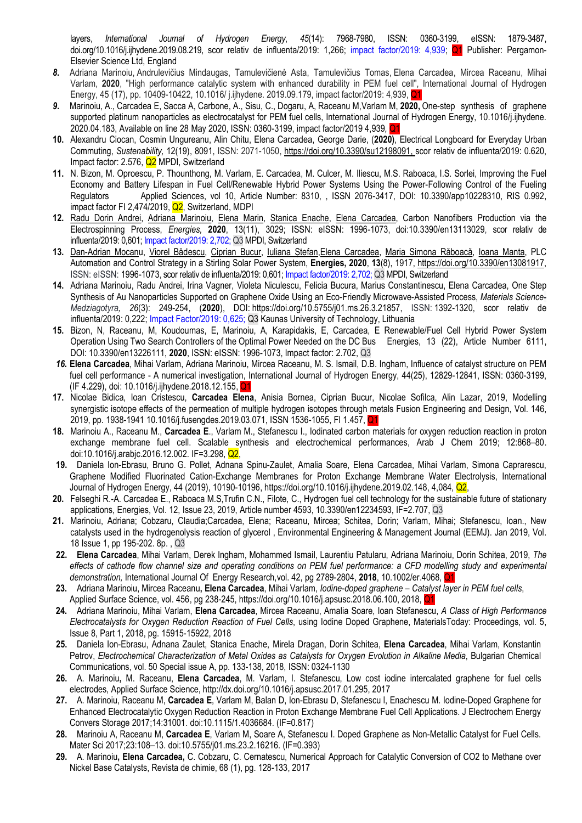layers, International Journal of Hydrogen Energy, 45(14): 7968-7980, ISSN: 0360-3199, eISSN: 1879-3487, doi.org/10.1016/j.ijhydene.2019.08.219, scor relativ de influenta/2019: 1,266; impact factor/2019: 4,939; Q1 Publisher: Pergamon-Elsevier Science Ltd, England

- 8. Adriana Marinoiu, Andrulevičius Mindaugas, Tamulevičienė Asta, Tamulevičius Tomas, Elena Carcadea, Mircea Raceanu, Mihai Varlam, 2020, "High performance catalytic system with enhanced durability in PEM fuel cell", International Journal of Hydrogen Energy, 45 (17), pp. 10409-10422, 10.1016/ j.ijhydene. 2019.09.179, impact factor/2019: 4,939, Q1
- 9. Marinoiu, A., Carcadea E, Sacca A, Carbone, A., Sisu, C., Dogaru, A, Raceanu M,Varlam M, 2020, One-step synthesis of graphene supported platinum nanoparticles as electrocatalyst for PEM fuel cells, International Journal of Hydrogen Energy, 10.1016/j.ijhydene. 2020.04.183, Available on line 28 May 2020, ISSN: 0360-3199, impact factor/2019 4,939, Q1
- 10. Alexandru Ciocan, Cosmin Ungureanu, Alin Chitu, Elena Carcadea, George Darie, (2020), Electrical Longboard for Everyday Urban Commuting, Sustenability, 12(19), 8091, ISSN: 2071-1050, https://doi.org/10.3390/su12198091, scor relativ de influenta/2019: 0.620, Impact factor: 2.576, Q2 MPDI, Switzerland
- 11. N. Bizon, M. Oproescu, P. Thounthong, M. Varlam, E. Carcadea, M. Culcer, M. Iliescu, M.S. Raboaca, I.S. Sorlei, Improving the Fuel Economy and Battery Lifespan in Fuel Cell/Renewable Hybrid Power Systems Using the Power-Following Control of the Fueling Regulators Applied Sciences, vol 10, Article Number: 8310, , ISSN 2076-3417, DOI: 10.3390/app10228310, RIS 0.992, impact factor FI 2,474/2019, Q2, Switzerland, MDPI
- 12. Radu Dorin Andrei, Adriana Marinoiu, Elena Marin, Stanica Enache, Elena Carcadea, Carbon Nanofibers Production via the Electrospinning Process, Energies, 2020, 13(11), 3029; ISSN: eISSN: 1996-1073, doi:10.3390/en13113029, scor relativ de influenta/2019: 0,601; Impact factor/2019: 2,702; Q3 MPDI, Switzerland
- 13. Dan-Adrian Mocanu, Viorel Bădescu, Ciprian Bucur, Iuliana Ștefan,Elena Carcadea, Maria Simona Răboacă, Ioana Manta, PLC Automation and Control Strategy in a Stirling Solar Power System, Energies, 2020, 13(8), 1917, https://doi.org/10.3390/en13081917, ISSN: eISSN: 1996-1073, scor relativ de influenta/2019: 0,601; Impact factor/2019: 2,702; Q3 MPDI, Switzerland
- 14. Adriana Marinoiu, Radu Andrei, Irina Vagner, Violeta Niculescu, Felicia Bucura, Marius Constantinescu, Elena Carcadea, One Step Synthesis of Au Nanoparticles Supported on Graphene Oxide Using an Eco-Friendly Microwave-Assisted Process, Materials Science-Medziagotyra, 26(3): 249-254, (2020), DOI: https://doi.org/10.5755/j01.ms.26.3.21857, ISSN: 1392-1320, scor relativ de influenta/2019: 0,222; Impact Factor/2019: 0,625; Q3 Kaunas University of Technology, Lithuania
- 15. Bizon, N, Raceanu, M, Koudoumas, E, Marinoiu, A, Karapidakis, E, Carcadea, E Renewable/Fuel Cell Hybrid Power System Operation Using Two Search Controllers of the Optimal Power Needed on the DC Bus Energies, 13 (22), Article Number 6111, DOI: 10.3390/en13226111, 2020, ISSN: eISSN: 1996-1073, Impact factor: 2.702, Q3
- 16. Elena Carcadea, Mihai Varlam, Adriana Marinoiu, Mircea Raceanu, M. S. Ismail, D.B. Ingham, Influence of catalyst structure on PEM fuel cell performance - A numerical investigation, International Journal of Hydrogen Energy, 44(25), 12829-12841, ISSN: 0360-3199, (IF 4.229), doi: 10.1016/j.ijhydene.2018.12.155, Q1
- 17. Nicolae Bidica, Ioan Cristescu, Carcadea Elena, Anisia Bornea, Ciprian Bucur, Nicolae Sofilca, Alin Lazar, 2019, Modelling synergistic isotope effects of the permeation of multiple hydrogen isotopes through metals Fusion Engineering and Design, Vol. 146, 2019, pp. 1938-1941 10.1016/j.fusengdes.2019.03.071, ISSN 1536-1055, FI 1.457, Q1
- 18. Marinoiu A., Raceanu M., Carcadea E., Varlam M., Stefanescu I., Iodinated carbon materials for oxygen reduction reaction in proton exchange membrane fuel cell. Scalable synthesis and electrochemical performances, Arab J Chem 2019; 12:868–80. doi:10.1016/j.arabjc.2016.12.002. IF=3.298, Q2,
- 19. Daniela Ion-Ebrasu, Bruno G. Pollet, Adnana Spinu-Zaulet, Amalia Soare, Elena Carcadea, Mihai Varlam, Simona Caprarescu, Graphene Modified Fluorinated Cation-Exchange Membranes for Proton Exchange Membrane Water Electrolysis, International Journal of Hydrogen Energy, 44 (2019), 10190-10196, https://doi.org/10.1016/j.ijhydene.2019.02.148, 4,084, Q2,
- 20. Felseghi R.-A. Carcadea E., Raboaca M.S,Trufin C.N., Filote, C., Hydrogen fuel cell technology for the sustainable future of stationary applications, Energies, Vol. 12, Issue 23, 2019, Article number 4593, 10.3390/en12234593, IF=2.707, Q3
- 21. Marinoiu, Adriana; Cobzaru, Claudia;Carcadea, Elena; Raceanu, Mircea; Schitea, Dorin; Varlam, Mihai; Stefanescu, Ioan., New catalysts used in the hydrogenolysis reaction of glycerol , Environmental Engineering & Management Journal (EEMJ). Jan 2019, Vol. 18 Issue 1, pp 195-202. 8p. , Q3
- 22. Elena Carcadea, Mihai Varlam, Derek Ingham, Mohammed Ismail, Laurentiu Patularu, Adriana Marinoiu, Dorin Schitea, 2019, The effects of cathode flow channel size and operating conditions on PEM fuel performance: a CFD modelling study and experimental demonstration, International Journal Of Energy Research, vol. 42, pg 2789-2804, 2018, 10.1002/er.4068, Q<sup>2</sup>
- 23. Adriana Marinoiu, Mircea Raceanu, Elena Carcadea, Mihai Varlam, *Iodine-doped graphene Catalyst layer in PEM fuel cells*, Applied Surface Science, vol. 456, pg 238-245, https://doi.org/10.1016/j.apsusc.2018.06.100, 2018, Q1
- 24. Adriana Marinoiu, Mihai Varlam, Elena Carcadea, Mircea Raceanu, Amalia Soare, Ioan Stefanescu, A Class of High Performance Electrocatalysts for Oxygen Reduction Reaction of Fuel Cells, using Iodine Doped Graphene, MaterialsToday: Proceedings, vol. 5, Issue 8, Part 1, 2018, pg. 15915-15922, 2018
- 25. Daniela Ion-Ebrasu, Adnana Zaulet, Stanica Enache, Mirela Dragan, Dorin Schitea, Elena Carcadea, Mihai Varlam, Konstantin Petrov, Electrochemical Characterization of Metal Oxides as Catalysts for Oxygen Evolution in Alkaline Media, Bulgarian Chemical Communications, vol. 50 Special issue A, pp. 133-138, 2018, ISSN: 0324-1130
- 26. A. Marinoiu, M. Raceanu, Elena Carcadea, M. Varlam, I. Stefanescu, Low cost iodine intercalated graphene for fuel cells electrodes, Applied Surface Science, http://dx.doi.org/10.1016/j.apsusc.2017.01.295, 2017
- 27. A. Marinoiu, Raceanu M, Carcadea E, Varlam M, Balan D, Ion-Ebrasu D, Stefanescu l, Enachescu M. Iodine-Doped Graphene for Enhanced Electrocatalytic Oxygen Reduction Reaction in Proton Exchange Membrane Fuel Cell Applications. J Electrochem Energy Convers Storage 2017;14:31001. doi:10.1115/1.4036684. (IF=0.817)
- 28. Marinoiu A, Raceanu M, Carcadea E, Varlam M, Soare A, Stefanescu I. Doped Graphene as Non-Metallic Catalyst for Fuel Cells. Mater Sci 2017;23:108–13. doi:10.5755/j01.ms.23.2.16216. (IF=0.393)
- 29. A. Marinoiu, Elena Carcadea, C. Cobzaru, C. Cernatescu, Numerical Approach for Catalytic Conversion of CO2 to Methane over Nickel Base Catalysts, Revista de chimie, 68 (1), pg. 128-133, 2017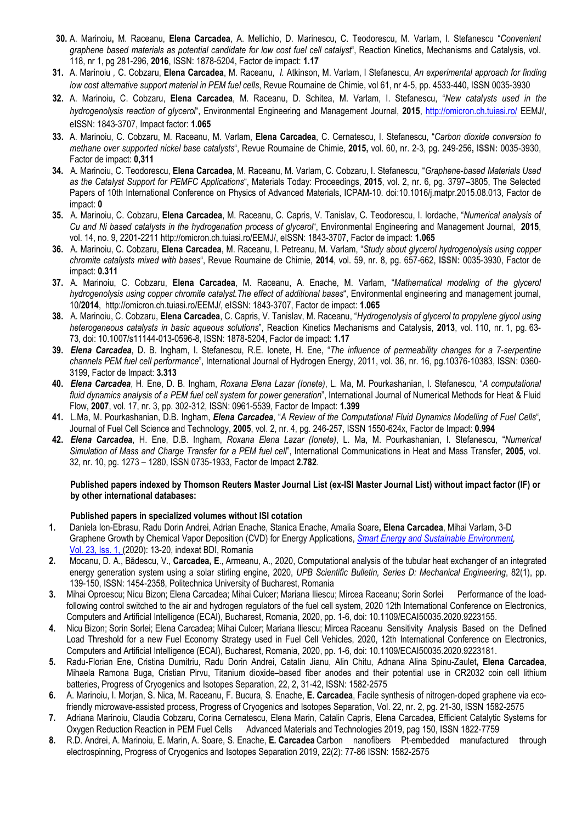- 30. A. Marinoiu, M. Raceanu, Elena Carcadea, A. Mellichio, D. Marinescu, C. Teodorescu, M. Varlam, I. Stefanescu "Convenient graphene based materials as potential candidate for low cost fuel cell catalyst", Reaction Kinetics, Mechanisms and Catalysis, vol. 118, nr 1, pg 281-296, 2016, ISSN: 1878-5204, Factor de impact: 1.17
- 31. A. Marinoiu, C. Cobzaru, Elena Carcadea, M. Raceanu, I. Atkinson, M. Varlam, I Stefanescu, An experimental approach for finding low cost alternative support material in PEM fuel cells, Revue Roumaine de Chimie, vol 61, nr 4-5, pp. 4533-440, ISSN 0035-3930
- 32. A. Marinoiu, C. Cobzaru, Elena Carcadea, M. Raceanu, D. Schitea, M. Varlam, I. Stefanescu, "New catalysts used in the hydrogenolysis reaction of glycerol", Environmental Engineering and Management Journal, 2015, http://omicron.ch.tuiasi.ro/ EEMJ/, eISSN: 1843-3707, Impact factor: 1.065
- 33. A. Marinoiu, C. Cobzaru, M. Raceanu, M. Varlam, Elena Carcadea, C. Cernatescu, I. Stefanescu, "Carbon dioxide conversion to methane over supported nickel base catalysts", Revue Roumaine de Chimie, 2015, vol. 60, nr. 2-3, pg. 249-256, ISSN: 0035-3930, Factor de impact: 0,311
- 34. A. Marinoiu, C. Teodorescu, Elena Carcadea, M. Raceanu, M. Varlam, C. Cobzaru, I. Stefanescu, "Graphene-based Materials Used as the Catalyst Support for PEMFC Applications", Materials Today: Proceedings, 2015, vol. 2, nr. 6, pg. 3797–3805, The Selected Papers of 10th International Conference on Physics of Advanced Materials, ICPAM-10. doi:10.1016/j.matpr.2015.08.013, Factor de impact: 0
- 35. A. Marinoiu, C. Cobzaru, Elena Carcadea, M. Raceanu, C. Capris, V. Tanislav, C. Teodorescu, I. Iordache, "Numerical analysis of Cu and Ni based catalysts in the hydrogenation process of glycerol", Environmental Engineering and Management Journal, 2015, vol. 14, no. 9, 2201-2211 http://omicron.ch.tuiasi.ro/EEMJ/, eISSN: 1843-3707, Factor de impact: 1.065
- 36. A. Marinoiu, C. Cobzaru, Elena Carcadea, M. Raceanu, I. Petreanu, M. Varlam, "Study about glycerol hydrogenolysis using copper chromite catalysts mixed with bases", Revue Roumaine de Chimie, 2014, vol. 59, nr. 8, pg. 657-662, ISSN: 0035-3930, Factor de impact: 0.311
- 37. A. Marinoiu, C. Cobzaru, Elena Carcadea, M. Raceanu, A. Enache, M. Varlam, "Mathematical modeling of the glycerol hydrogenolysis using copper chromite catalyst.The effect of additional bases", Environmental engineering and management journal, 10/2014, http://omicron.ch.tuiasi.ro/EEMJ/, eISSN: 1843-3707, Factor de impact: 1.065
- 38. A. Marinoiu, C. Cobzaru, Elena Carcadea, C. Capris, V. Tanislav, M. Raceanu, "Hydrogenolysis of glycerol to propylene glycol using heterogeneous catalysts in basic aqueous solutions", Reaction Kinetics Mechanisms and Catalysis, 2013, vol. 110, nr. 1, pg. 63-73, doi: 10.1007/s11144-013-0596-8, ISSN: 1878-5204, Factor de impact: 1.17
- 39. Elena Carcadea, D. B. Ingham, I. Stefanescu, R.E. Ionete, H. Ene, "The influence of permeability changes for a 7-serpentine channels PEM fuel cell performance", International Journal of Hydrogen Energy, 2011, vol. 36, nr. 16, pg.10376-10383, ISSN: 0360- 3199, Factor de Impact: 3.313
- 40. Elena Carcadea, H. Ene, D. B. Ingham, Roxana Elena Lazar (lonete), L. Ma, M. Pourkashanian, I. Stefanescu, "A computational fluid dynamics analysis of a PEM fuel cell system for power generation", International Journal of Numerical Methods for Heat & Fluid Flow, 2007, vol. 17, nr. 3, pp. 302-312, ISSN: 0961-5539, Factor de Impact: 1.399
- 41. L.Ma, M. Pourkashanian, D.B. Ingham, Elena Carcadea, "A Review of the Computational Fluid Dynamics Modelling of Fuel Cells", Journal of Fuel Cell Science and Technology, 2005, vol. 2, nr. 4, pg. 246-257, ISSN 1550-624x, Factor de Impact: 0.994
- 42. Elena Carcadea, H. Ene, D.B. Ingham, Roxana Elena Lazar (lonete), L. Ma, M. Pourkashanian, I. Stefanescu, "Numerical Simulation of Mass and Charge Transfer for a PEM fuel cell", International Communications in Heat and Mass Transfer, 2005, vol. 32, nr. 10, pg. 1273 – 1280, ISSN 0735-1933, Factor de Impact 2.782.

#### Published papers indexed by Thomson Reuters Master Journal List (ex-ISI Master Journal List) without impact factor (IF) or by other international databases:

#### Published papers in specialized volumes without ISI cotation

- 1. Daniela Ion-Ebrasu, Radu Dorin Andrei, Adrian Enache, Stanica Enache, Amalia Soare, Elena Carcadea, Mihai Varlam, 3-D Graphene Growth by Chemical Vapor Deposition (CVD) for Energy Applications, Smart Energy and Sustainable Environment, Vol. 23, Iss. 1, (2020): 13-20, indexat BDI, Romania
- 2. Mocanu, D. A., Bădescu, V., Carcadea, E., Armeanu, A., 2020, Computational analysis of the tubular heat exchanger of an integrated energy generation system using a solar stirling engine, 2020, UPB Scientific Bulletin, Series D: Mechanical Engineering, 82(1), pp. 139-150, ISSN: 1454-2358, Politechnica University of Bucharest, Romania
- 3. Mihai Oproescu; Nicu Bizon; Elena Carcadea; Mihai Culcer; Mariana Iliescu; Mircea Raceanu; Sorin Sorlei Performance of the loadfollowing control switched to the air and hydrogen regulators of the fuel cell system, 2020 12th International Conference on Electronics, Computers and Artificial Intelligence (ECAI), Bucharest, Romania, 2020, pp. 1-6, doi: 10.1109/ECAI50035.2020.9223155.
- 4. Nicu Bizon; Sorin Sorlei; Elena Carcadea; Mihai Culcer; Mariana Iliescu; Mircea Raceanu Sensitivity Analysis Based on the Defined Load Threshold for a new Fuel Economy Strategy used in Fuel Cell Vehicles, 2020, 12th International Conference on Electronics, Computers and Artificial Intelligence (ECAI), Bucharest, Romania, 2020, pp. 1-6, doi: 10.1109/ECAI50035.2020.9223181.
- 5. Radu-Florian Ene, Cristina Dumitriu, Radu Dorin Andrei, Catalin Jianu, Alin Chitu, Adnana Alina Spinu-Zaulet, Elena Carcadea, Mihaela Ramona Buga, Cristian Pirvu, Titanium dioxide–based fiber anodes and their potential use in CR2032 coin cell lithium batteries, Progress of Cryogenics and Isotopes Separation, 22, 2, 31-42, ISSN: 1582-2575
- 6. A. Marinoiu, I. Morjan, S. Nica, M. Raceanu, F. Bucura, S. Enache, E. Carcadea, Facile synthesis of nitrogen-doped graphene via ecofriendly microwave-assisted process, Progress of Cryogenics and Isotopes Separation, Vol. 22, nr. 2, pg. 21-30, ISSN 1582-2575
- 7. Adriana Marinoiu, Claudia Cobzaru, Corina Cernatescu, Elena Marin, Catalin Capris, Elena Carcadea, Efficient Catalytic Systems for Oxygen Reduction Reaction in PEM Fuel Cells Advanced Materials and Technologies 2019, pag 150, ISSN 1822-7759
- 8. R.D. Andrei, A. Marinoiu, E. Marin, A. Soare, S. Enache, E. Carcadea Carbon nanofibers Pt-embedded manufactured through electrospinning, Progress of Cryogenics and Isotopes Separation 2019, 22(2): 77-86 ISSN: 1582-2575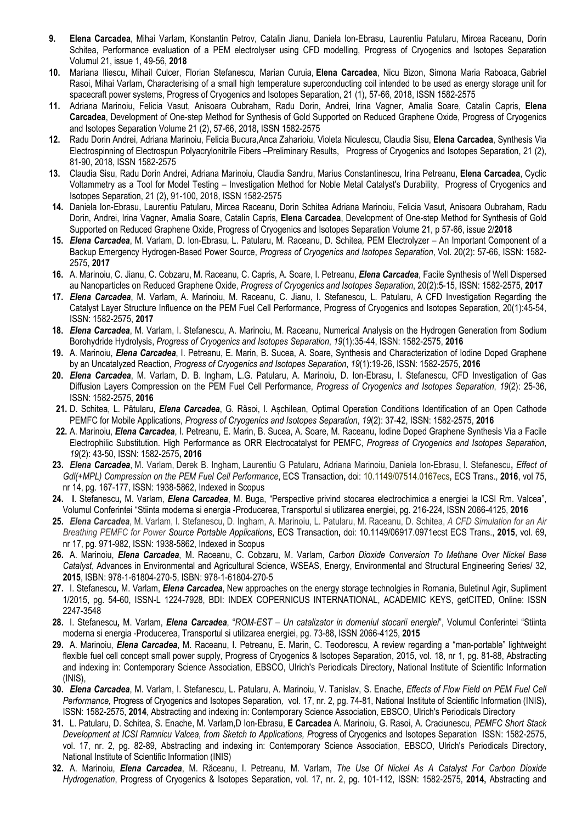- 9. Elena Carcadea, Mihai Varlam, Konstantin Petrov, Catalin Jianu, Daniela Ion-Ebrasu, Laurentiu Patularu, Mircea Raceanu, Dorin Schitea, Performance evaluation of a PEM electrolyser using CFD modelling, Progress of Cryogenics and Isotopes Separation Volumul 21, issue 1, 49-56, 2018
- 10. Mariana Iliescu, Mihail Culcer, Florian Stefanescu, Marian Curuia, Elena Carcadea, Nicu Bizon, Simona Maria Raboaca, Gabriel Rasoi, Mihai Varlam, Characterising of a small high temperature superconducting coil intended to be used as energy storage unit for spacecraft power systems, Progress of Cryogenics and Isotopes Separation, 21 (1), 57-66, 2018, ISSN 1582-2575
- 11. Adriana Marinoiu, Felicia Vasut, Anisoara Oubraham, Radu Dorin, Andrei, Irina Vagner, Amalia Soare, Catalin Capris, Elena Carcadea, Development of One-step Method for Synthesis of Gold Supported on Reduced Graphene Oxide, Progress of Cryogenics and Isotopes Separation Volume 21 (2), 57-66, 2018, ISSN 1582-2575
- 12. Radu Dorin Andrei, Adriana Marinoiu, Felicia Bucura,Anca Zaharioiu, Violeta Niculescu, Claudia Sisu, Elena Carcadea, Synthesis Via Electrospinning of Electrospun Polyacrylonitrile Fibers –Preliminary Results, Progress of Cryogenics and Isotopes Separation, 21 (2), 81-90, 2018, ISSN 1582-2575
- 13. Claudia Sisu, Radu Dorin Andrei, Adriana Marinoiu, Claudia Sandru, Marius Constantinescu, Irina Petreanu, Elena Carcadea, Cyclic Voltammetry as a Tool for Model Testing – Investigation Method for Noble Metal Catalyst's Durability, Progress of Cryogenics and Isotopes Separation, 21 (2), 91-100, 2018, ISSN 1582-2575
- 14. Daniela Ion-Ebrasu, Laurentiu Patularu, Mircea Raceanu, Dorin Schitea Adriana Marinoiu, Felicia Vasut, Anisoara Oubraham, Radu Dorin, Andrei, Irina Vagner, Amalia Soare, Catalin Capris, Elena Carcadea, Development of One-step Method for Synthesis of Gold Supported on Reduced Graphene Oxide, Progress of Cryogenics and Isotopes Separation Volume 21, p 57-66, issue 2/2018
- 15. Elena Carcadea, M. Varlam, D. Ion-Ebrasu, L. Patularu, M. Raceanu, D. Schitea, PEM Electrolyzer An Important Component of a Backup Emergency Hydrogen-Based Power Source, Progress of Cryogenics and Isotopes Separation, Vol. 20(2): 57-66, ISSN: 1582- 2575, 2017
- 16. A. Marinoiu, C. Jianu, C. Cobzaru, M. Raceanu, C. Capris, A. Soare, I. Petreanu, *Elena Carcadea*, Facile Synthesis of Well Dispersed au Nanoparticles on Reduced Graphene Oxide, Progress of Cryogenics and Isotopes Separation, 20(2):5-15, ISSN: 1582-2575, 2017
- 17. Elena Carcadea, M. Varlam, A. Marinoiu, M. Raceanu, C. Jianu, I. Stefanescu, L. Patularu, A CFD Investigation Regarding the Catalyst Layer Structure Influence on the PEM Fuel Cell Performance, Progress of Cryogenics and Isotopes Separation, 20(1):45-54, ISSN: 1582-2575, 2017
- 18. Elena Carcadea, M. Varlam, I. Stefanescu, A. Marinoiu, M. Raceanu, Numerical Analysis on the Hydrogen Generation from Sodium Borohydride Hydrolysis, Progress of Cryogenics and Isotopes Separation, 19(1):35-44, ISSN: 1582-2575, 2016
- 19. A. Marinoiu, Elena Carcadea, I. Petreanu, E. Marin, B. Sucea, A. Soare, Synthesis and Characterization of Iodine Doped Graphene by an Uncatalyzed Reaction, Progress of Cryogenics and Isotopes Separation, 19(1):19-26, ISSN: 1582-2575, 2016
- 20. Elena Carcadea, M. Varlam, D. B. Ingham, L.G. Patularu, A. Marinoiu, D. Ion-Ebrasu, I. Stefanescu, CFD Investigation of Gas Diffusion Layers Compression on the PEM Fuel Cell Performance, Progress of Cryogenics and Isotopes Separation, 19(2): 25-36, ISSN: 1582-2575, 2016
- 21. D. Schitea, L. Pătularu, *Elena Carcadea*, G. Răsoi, I. Aschilean, Optimal Operation Conditions Identification of an Open Cathode PEMFC for Mobile Applications, Progress of Cryogenics and Isotopes Separation, 19(2): 37-42, ISSN: 1582-2575, 2016
- 22. A. Marinoiu, Elena Carcadea, I. Petreanu, E. Marin, B. Sucea, A. Soare, M. Raceanu, Iodine Doped Graphene Synthesis Via a Facile Electrophilic Substitution. High Performance as ORR Electrocatalyst for PEMFC, Progress of Cryogenics and Isotopes Separation, 19(2): 43-50, ISSN: 1582-2575, 2016
- 23. Elena Carcadea, M. Varlam, Derek B. Ingham, Laurentiu G Patularu, Adriana Marinoiu, Daniela Ion-Ebrasu, I. Stefanescu, Effect of Gdl(+MPL) Compression on the PEM Fuel Cell Performance, ECS Transaction, doi: 10.1149/07514.0167ecs, ECS Trans., 2016, vol 75, nr 14, pg. 167-177, ISSN: 1938-5862, Indexed in Scopus
- 24. I. Stefanescu, M. Varlam, *Elena Carcadea*, M. Buga, "Perspective privind stocarea electrochimica a energiei la ICSI Rm. Valcea", Volumul Conferintei "Stiinta moderna si energia -Producerea, Transportul si utilizarea energiei, pg. 216-224, ISSN 2066-4125, 2016
- 25. Elena Carcadea, M. Varlam, I. Stefanescu, D. Ingham, A. Marinoiu, L. Patularu, M. Raceanu, D. Schitea, A CFD Simulation for an Air Breathing PEMFC for Power Source Portable Applications, ECS Transaction, doi: 10.1149/06917.0971ecst ECS Trans., 2015, vol. 69, nr 17, pg. 971-982, ISSN: 1938-5862, Indexed in Scopus
- 26. A. Marinoiu, Elena Carcadea, M. Raceanu, C. Cobzaru, M. Varlam, Carbon Dioxide Conversion To Methane Over Nickel Base Catalyst, Advances in Environmental and Agricultural Science, WSEAS, Energy, Environmental and Structural Engineering Series/ 32, 2015, ISBN: 978-1-61804-270-5, ISBN: 978-1-61804-270-5
- 27. I. Stefanescu, M. Varlam, *Elena Carcadea*, New approaches on the energy storage technolgies in Romania, Buletinul Agir, Supliment 1/2015, pg. 54-60, ISSN-L 1224-7928, BDI: INDEX COPERNICUS INTERNATIONAL, ACADEMIC KEYS, getCITED, Online: ISSN 2247-3548
- 28. I. Stefanescu, M. Varlam, *Elena Carcadea*, "ROM-EST Un catalizator in domeniul stocarii energiei", Volumul Conferintei "Stiinta moderna si energia -Producerea, Transportul si utilizarea energiei, pg. 73-88, ISSN 2066-4125, 2015
- 29. A. Marinoiu, *Elena Carcadea*, M. Raceanu, I. Petreanu, E. Marin, C. Teodorescu, A review regarding a "man-portable" lightweight flexible fuel cell concept small power supply, Progress of Cryogenics & Isotopes Separation, 2015, vol. 18, nr 1, pg. 81-88, Abstracting and indexing in: Contemporary Science Association, EBSCO, Ulrich's Periodicals Directory, National Institute of Scientific Information (INIS),
- 30. Elena Carcadea, M. Varlam, I. Stefanescu, L. Patularu, A. Marinoiu, V. Tanislav, S. Enache, Effects of Flow Field on PEM Fuel Cell Performance, Progress of Cryogenics and Isotopes Separation, vol. 17, nr. 2, pg. 74-81, National Institute of Scientific Information (INIS), ISSN: 1582-2575, 2014, Abstracting and indexing in: Contemporary Science Association, EBSCO, Ulrich's Periodicals Directory
- 31. L. Patularu, D. Schitea, S. Enache, M. Varlam,D Ion-Ebrasu, E Carcadea A. Marinoiu, G. Rasoi, A. Craciunescu, PEMFC Short Stack Development at ICSI Ramnicu Valcea, from Sketch to Applications, Progress of Cryogenics and Isotopes Separation ISSN: 1582-2575, vol. 17, nr. 2, pg. 82-89, Abstracting and indexing in: Contemporary Science Association, EBSCO, Ulrich's Periodicals Directory, National Institute of Scientific Information (INIS)
- 32. A. Marinoiu, Elena Carcadea, M. Răceanu, I. Petreanu, M. Varlam, The Use Of Nickel As A Catalyst For Carbon Dioxide Hydrogenation, Progress of Cryogenics & Isotopes Separation, vol. 17, nr. 2, pg. 101-112, ISSN: 1582-2575, 2014, Abstracting and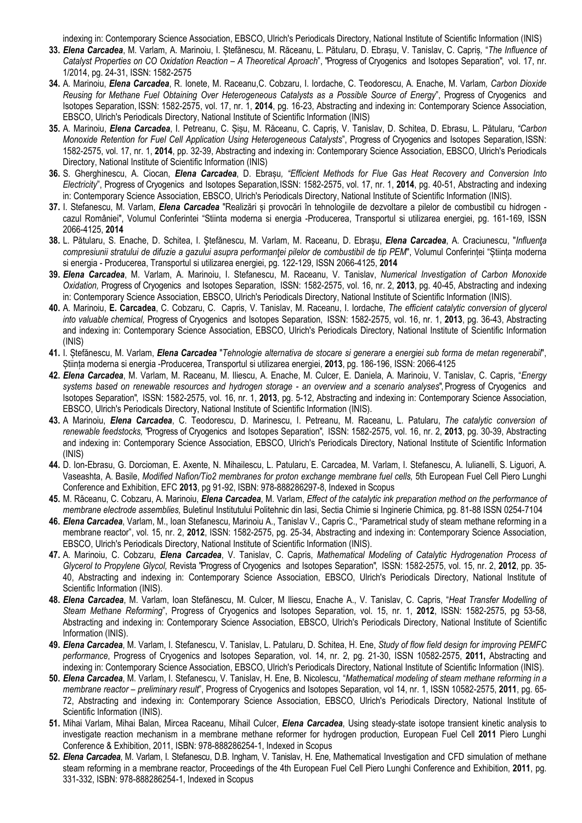indexing in: Contemporary Science Association, EBSCO, Ulrich's Periodicals Directory, National Institute of Scientific Information (INIS)

- 33. Elena Carcadea, M. Varlam, A. Marinoiu, I. Stefănescu, M. Răceanu, L. Pătularu, D. Ebrașu, V. Tanislav, C. Capriș, "The Influence of Catalyst Properties on CO Oxidation Reaction – A Theoretical Aproach", "Progress of Cryogenics and Isotopes Separation", vol. 17, nr. 1/2014, pg. 24-31, ISSN: 1582-2575
- 34. A. Marinoiu, *Elena Carcadea*, R. Ionete, M. Raceanu, C. Cobzaru, I. Iordache, C. Teodorescu, A. Enache, M. Varlam, Carbon Dioxide Reusing for Methane Fuel Obtaining Over Heterogeneous Catalysts as a Possible Source of Energy", Progress of Cryogenics and Isotopes Separation, ISSN: 1582-2575, vol. 17, nr. 1, 2014, pg. 16-23, Abstracting and indexing in: Contemporary Science Association, EBSCO, Ulrich's Periodicals Directory, National Institute of Scientific Information (INIS)
- 35. A. Marinoiu, *Elena Carcadea*, I. Petreanu, C. Sisu, M. Răceanu, C. Capris, V. Tanislav, D. Schitea, D. Ebrasu, L. Pătularu, "Carbon Monoxide Retention for Fuel Cell Application Using Heterogeneous Catalysts", Progress of Cryogenics and Isotopes Separation, ISSN: 1582-2575, vol. 17, nr. 1, 2014, pp. 32-39, Abstracting and indexing in: Contemporary Science Association, EBSCO, Ulrich's Periodicals Directory, National Institute of Scientific Information (INIS)
- 36. S. Gherghinescu, A. Ciocan, Elena Carcadea, D. Ebrasu, "Efficient Methods for Flue Gas Heat Recovery and Conversion Into Electricity", Progress of Cryogenics and Isotopes Separation, ISSN: 1582-2575, vol. 17, nr. 1, 2014, pg. 40-51, Abstracting and indexing in: Contemporary Science Association, EBSCO, Ulrich's Periodicals Directory, National Institute of Scientific Information (INIS).
- 37. I. Stefanescu, M. Varlam, Elena Carcadea "Realizări și provocări în tehnologiile de dezvoltare a pilelor de combustibil cu hidrogen cazul României", Volumul Conferintei "Stiinta moderna si energia -Producerea, Transportul si utilizarea energiei, pg. 161-169, ISSN 2066-4125, 2014
- 38. L. Pătularu, S. Enache, D. Schitea, I. Ștefănescu, M. Varlam, M. Raceanu, D. Ebrașu, Elena Carcadea, A. Craciunescu, "Influența compresiunii stratului de difuzie a gazului asupra performanței pilelor de combustibil de tip PEM", Volumul Conferinței "Stiința moderna si energia - Producerea, Transportul si utilizarea energiei, pg. 122-129, ISSN 2066-4125, 2014
- 39. Elena Carcadea, M. Varlam, A. Marinoiu, I. Stefanescu, M. Raceanu, V. Tanislav, Numerical Investigation of Carbon Monoxide Oxidation, Progress of Cryogenics and Isotopes Separation, ISSN: 1582-2575, vol. 16, nr. 2, 2013, pg. 40-45, Abstracting and indexing in: Contemporary Science Association, EBSCO, Ulrich's Periodicals Directory, National Institute of Scientific Information (INIS).
- 40. A. Marinoiu, E. Carcadea, C. Cobzaru, C. Capris, V. Tanislav, M. Raceanu, I. Iordache, The efficient catalytic conversion of glycerol into valuable chemical, Progress of Cryogenics and Isotopes Separation, ISSN: 1582-2575, vol. 16, nr. 1, 2013, pg. 36-43, Abstracting and indexing in: Contemporary Science Association, EBSCO, Ulrich's Periodicals Directory, National Institute of Scientific Information (INIS)
- 41. I. Stefănescu, M. Varlam, Elena Carcadea "Tehnologie alternativa de stocare si generare a energiei sub forma de metan regenerabil", Știința moderna si energia -Producerea, Transportul si utilizarea energiei, 2013, pg. 186-196, ISSN: 2066-4125
- 42. Elena Carcadea, M. Varlam, M. Raceanu, M. Iliescu, A. Enache, M. Culcer, E. Daniela, A. Marinoiu, V. Tanislav, C. Capris, "Energy systems based on renewable resources and hydrogen storage - an overview and a scenario analyses", Progress of Cryogenics and Isotopes Separation", ISSN: 1582-2575, vol. 16, nr. 1, 2013, pg. 5-12, Abstracting and indexing in: Contemporary Science Association, EBSCO, Ulrich's Periodicals Directory, National Institute of Scientific Information (INIS).
- 43. A Marinoiu, *Elena Carcadea*, C. Teodorescu, D. Marinescu, I. Petreanu, M. Raceanu, L. Patularu, The catalytic conversion of renewable feedstocks, "Progress of Cryogenics and Isotopes Separation", ISSN: 1582-2575, vol. 16, nr. 2, 2013, pg. 30-39, Abstracting and indexing in: Contemporary Science Association, EBSCO, Ulrich's Periodicals Directory, National Institute of Scientific Information (INIS)
- 44. D. Ion-Ebrasu, G. Dorcioman, E. Axente, N. Mihailescu, L. Patularu, E. Carcadea, M. Varlam, I. Stefanescu, A. Iulianelli, S. Liguori, A. Vaseashta, A. Basile, Modified Nafion/Tio2 membranes for proton exchange membrane fuel cells, 5th European Fuel Cell Piero Lunghi Conference and Exhibition, EFC 2013, pg 91-92, ISBN: 978-888286297-8, Indexed in Scopus
- 45. M. Răceanu, C. Cobzaru, A. Marinoiu, *Elena Carcadea*, M. Varlam, *Effect of the catalytic ink preparation method on the performance of* membrane electrode assemblies, Buletinul Institutului Politehnic din Iasi, Sectia Chimie si Inginerie Chimica, pg. 81-88 ISSN 0254-7104
- 46. Elena Carcadea, Varlam, M., Ioan Stefanescu, Marinoiu A., Tanislav V., Capris C., "Parametrical study of steam methane reforming in a membrane reactor", vol. 15, nr. 2, 2012, ISSN: 1582-2575, pg. 25-34, Abstracting and indexing in: Contemporary Science Association, EBSCO, Ulrich's Periodicals Directory, National Institute of Scientific Information (INIS).
- 47. A. Marinoiu, C. Cobzaru, Elena Carcadea, V. Tanislav, C. Capris, Mathematical Modeling of Catalytic Hydrogenation Process of Glycerol to Propylene Glycol, Revista "Progress of Cryogenics and Isotopes Separation", ISSN: 1582-2575, vol. 15, nr. 2, 2012, pp. 35- 40, Abstracting and indexing in: Contemporary Science Association, EBSCO, Ulrich's Periodicals Directory, National Institute of Scientific Information (INIS).
- 48. Elena Carcadea, M. Varlam, Ioan Stefănescu, M. Culcer, M Iliescu, Enache A., V. Tanislav, C. Capris, "Heat Transfer Modelling of Steam Methane Reforming", Progress of Cryogenics and Isotopes Separation, vol. 15, nr. 1, 2012, ISSN: 1582-2575, pg 53-58, Abstracting and indexing in: Contemporary Science Association, EBSCO, Ulrich's Periodicals Directory, National Institute of Scientific Information (INIS).
- 49. Elena Carcadea, M. Varlam, I. Stefanescu, V. Tanislav, L. Patularu, D. Schitea, H. Ene, Study of flow field design for improving PEMFC performance, Progress of Cryogenics and Isotopes Separation, vol. 14, nr. 2, pg. 21-30, ISSN 10582-2575, 2011, Abstracting and indexing in: Contemporary Science Association, EBSCO, Ulrich's Periodicals Directory, National Institute of Scientific Information (INIS).
- 50. Elena Carcadea, M. Varlam, I. Stefanescu, V. Tanislav, H. Ene, B. Nicolescu, "Mathematical modeling of steam methane reforming in a membrane reactor – preliminary result", Progress of Cryogenics and Isotopes Separation, vol 14, nr. 1, ISSN 10582-2575, 2011, pg. 65-72, Abstracting and indexing in: Contemporary Science Association, EBSCO, Ulrich's Periodicals Directory, National Institute of Scientific Information (INIS).
- 51. Mihai Varlam, Mihai Balan, Mircea Raceanu, Mihail Culcer, *Elena Carcadea*, Using steady-state isotope transient kinetic analysis to investigate reaction mechanism in a membrane methane reformer for hydrogen production, European Fuel Cell 2011 Piero Lunghi Conference & Exhibition, 2011, ISBN: 978-888286254-1, Indexed in Scopus
- 52. Elena Carcadea, M. Varlam, I. Stefanescu, D.B. Ingham, V. Tanislav, H. Ene, Mathematical Investigation and CFD simulation of methane steam reforming in a membrane reactor, Proceedings of the 4th European Fuel Cell Piero Lunghi Conference and Exhibition, 2011, pg. 331-332, ISBN: 978-888286254-1, Indexed in Scopus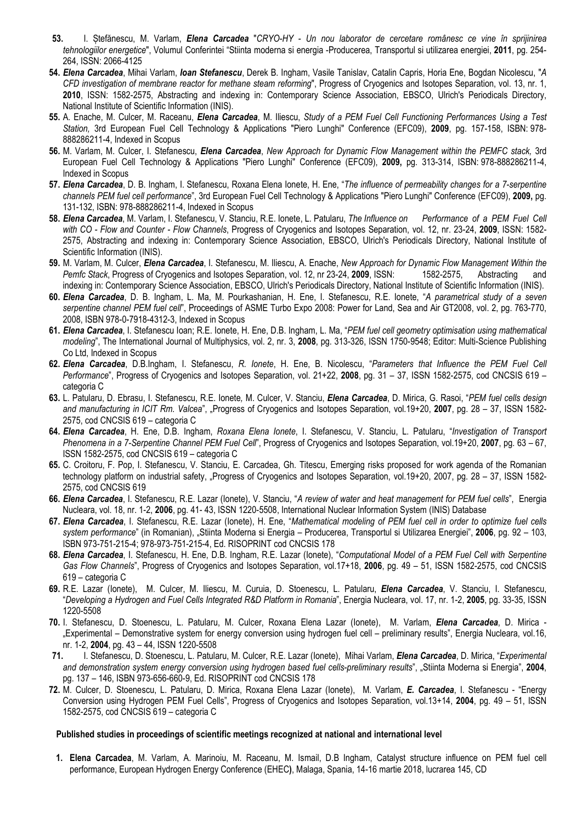- 53. I. Stefănescu, M. Varlam, *Elena Carcadea* "CRYO-HY Un nou laborator de cercetare românesc ce vine în sprijinirea tehnologiilor energetice", Volumul Conferintei "Stiinta moderna si energia -Producerea, Transportul si utilizarea energiei, 2011, pg. 254-264, ISSN: 2066-4125
- 54. Elena Carcadea, Mihai Varlam, Ioan Stefanescu, Derek B. Ingham, Vasile Tanislav, Catalin Capris, Horia Ene, Bogdan Nicolescu, "A CFD investigation of membrane reactor for methane steam reforming", Progress of Cryogenics and Isotopes Separation, vol. 13, nr. 1, 2010, ISSN: 1582-2575, Abstracting and indexing in: Contemporary Science Association, EBSCO, Ulrich's Periodicals Directory, National Institute of Scientific Information (INIS).
- 55. A. Enache, M. Culcer, M. Raceanu, *Elena Carcadea*, M. Iliescu, Study of a PEM Fuel Cell Functioning Performances Using a Test Station, 3rd European Fuel Cell Technology & Applications "Piero Lunghi" Conference (EFC09), 2009, pg. 157-158, ISBN: 978- 888286211-4, Indexed in Scopus
- 56. M. Varlam, M. Culcer, I. Stefanescu, *Elena Carcadea*, New Approach for Dynamic Flow Management within the PEMFC stack, 3rd European Fuel Cell Technology & Applications "Piero Lunghi" Conference (EFC09), 2009, pg. 313-314, ISBN: 978-888286211-4, Indexed in Scopus
- 57. Elena Carcadea, D. B. Ingham, I. Stefanescu, Roxana Elena Ionete, H. Ene, "The influence of permeability changes for a 7-serpentine channels PEM fuel cell performance", 3rd European Fuel Cell Technology & Applications "Piero Lunghi" Conference (EFC09), 2009, pg. 131-132, ISBN: 978-888286211-4, Indexed in Scopus
- 58. Elena Carcadea, M. Varlam, I. Stefanescu, V. Stanciu, R.E. Ionete, L. Patularu, The Influence on Performance of a PEM Fuel Cell with CO - Flow and Counter - Flow Channels, Progress of Cryogenics and Isotopes Separation, vol. 12, nr. 23-24, 2009, ISSN: 1582-2575, Abstracting and indexing in: Contemporary Science Association, EBSCO, Ulrich's Periodicals Directory, National Institute of Scientific Information (INIS).
- 59. M. Varlam, M. Culcer, Elena Carcadea, I. Stefanescu, M. Iliescu, A. Enache, New Approach for Dynamic Flow Management Within the Pemfc Stack, Progress of Cryogenics and Isotopes Separation, vol. 12, nr 23-24, 2009, ISSN: 1582-2575. Abstracting and indexing in: Contemporary Science Association, EBSCO, Ulrich's Periodicals Directory, National Institute of Scientific Information (INIS).
- 60. Elena Carcadea, D. B. Ingham, L. Ma, M. Pourkashanian, H. Ene, I. Stefanescu, R.E. Ionete, "A parametrical study of a seven serpentine channel PEM fuel cell", Proceedings of ASME Turbo Expo 2008: Power for Land, Sea and Air GT2008, vol. 2, pg. 763-770, 2008, ISBN 978-0-7918-4312-3, Indexed in Scopus
- 61. Elena Carcadea, I. Stefanescu Ioan; R.E. Ionete, H. Ene, D.B. Ingham, L. Ma, "PEM fuel cell geometry optimisation using mathematical modeling", The International Journal of Multiphysics, vol. 2, nr. 3, 2008, pg. 313-326, ISSN 1750-9548; Editor: Multi-Science Publishing Co Ltd, Indexed in Scopus
- 62. Elena Carcadea, D.B.Ingham, I. Stefanescu, R. Ionete, H. Ene, B. Nicolescu, "Parameters that Influence the PEM Fuel Cell Performance", Progress of Cryogenics and Isotopes Separation, vol. 21+22, 2008, pg. 31 – 37, ISSN 1582-2575, cod CNCSIS 619 – categoria C
- 63. L. Patularu, D. Ebrasu, I. Stefanescu, R.E. Ionete, M. Culcer, V. Stanciu, *Elena Carcadea*, D. Mirica, G. Rasoi, "PEM fuel cells design and manufacturing in ICIT Rm. Valcea", "Progress of Cryogenics and Isotopes Separation, vol.19+20, 2007, pg. 28 – 37, ISSN 1582-2575, cod CNCSIS 619 – categoria C
- 64. Elena Carcadea, H. Ene, D.B. Ingham, Roxana Elena Ionete, I. Stefanescu, V. Stanciu, L. Patularu, "Investigation of Transport Phenomena in a 7-Serpentine Channel PEM Fuel Cell", Progress of Cryogenics and Isotopes Separation, vol.19+20, 2007, pg. 63 - 67, ISSN 1582-2575, cod CNCSIS 619 – categoria C
- 65. C. Croitoru, F. Pop, I. Stefanescu, V. Stanciu, E. Carcadea, Gh. Titescu, Emerging risks proposed for work agenda of the Romanian technology platform on industrial safety, "Progress of Cryogenics and Isotopes Separation, vol.19+20, 2007, pg. 28 – 37, ISSN 1582- 2575, cod CNCSIS 619
- 66. Elena Carcadea, I. Stefanescu, R.E. Lazar (Ionete), V. Stanciu, "A review of water and heat management for PEM fuel cells", Energia Nucleara, vol. 18, nr. 1-2, 2006, pg. 41- 43, ISSN 1220-5508, International Nuclear Information System (INIS) Database
- 67. Elena Carcadea, I. Stefanescu, R.E. Lazar (Ionete), H. Ene, "Mathematical modeling of PEM fuel cell in order to optimize fuel cells system performance" (in Romanian), "Stiinta Moderna si Energia - Producerea, Transportul si Utilizarea Energiei", 2006, pg. 92 - 103, ISBN 973-751-215-4; 978-973-751-215-4, Ed. RISOPRINT cod CNCSIS 178
- 68. Elena Carcadea, I. Stefanescu, H. Ene, D.B. Ingham, R.E. Lazar (Ionete), "Computational Model of a PEM Fuel Cell with Serpentine Gas Flow Channels", Progress of Cryogenics and Isotopes Separation, vol.17+18, 2006, pg. 49 – 51, ISSN 1582-2575, cod CNCSIS 619 – categoria C
- 69. R.E. Lazar (Ionete), M. Culcer, M. Iliescu, M. Curuia, D. Stoenescu, L. Patularu, Elena Carcadea, V. Stanciu, I. Stefanescu, "Developing a Hydrogen and Fuel Cells Integrated R&D Platform in Romania", Energia Nucleara, vol. 17, nr. 1-2, 2005, pg. 33-35, ISSN 1220-5508
- 70. I. Stefanescu, D. Stoenescu, L. Patularu, M. Culcer, Roxana Elena Lazar (Ionete), M. Varlam, Elena Carcadea, D. Mirica -"Experimental – Demonstrative system for energy conversion using hydrogen fuel cell – preliminary results", Energia Nucleara, vol.16, nr. 1-2, 2004, pg. 43 – 44, ISSN 1220-5508
- 71. I. Stefanescu, D. Stoenescu, L. Patularu, M. Culcer, R.E. Lazar (Ionete), Mihai Varlam, Elena Carcadea, D. Mirica, "Experimental and demonstration system energy conversion using hydrogen based fuel cells-preliminary results", "Stiinta Moderna si Energia", 2004, pg. 137 – 146, ISBN 973-656-660-9, Ed. RISOPRINT cod CNCSIS 178
- 72. M. Culcer, D. Stoenescu, L. Patularu, D. Mirica, Roxana Elena Lazar (Ionete), M. Varlam, E. Carcadea, I. Stefanescu "Energy Conversion using Hydrogen PEM Fuel Cells", Progress of Cryogenics and Isotopes Separation, vol.13+14, 2004, pg. 49 – 51, ISSN 1582-2575, cod CNCSIS 619 – categoria C

#### Published studies in proceedings of scientific meetings recognized at national and international level

1. Elena Carcadea, M. Varlam, A. Marinoiu, M. Raceanu, M. Ismail, D.B Ingham, Catalyst structure influence on PEM fuel cell performance, European Hydrogen Energy Conference (EHEC), Malaga, Spania, 14-16 martie 2018, lucrarea 145, CD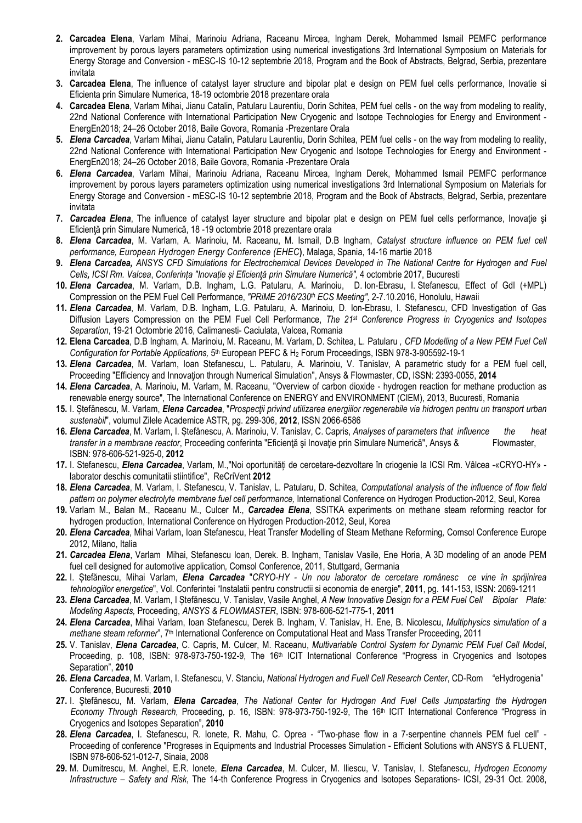- 2. Carcadea Elena, Varlam Mihai, Marinoiu Adriana, Raceanu Mircea, Ingham Derek, Mohammed Ismail PEMFC performance improvement by porous layers parameters optimization using numerical investigations 3rd International Symposium on Materials for Energy Storage and Conversion - mESC-IS 10-12 septembrie 2018, Program and the Book of Abstracts, Belgrad, Serbia, prezentare invitata
- 3. Carcadea Elena, The influence of catalyst layer structure and bipolar plat e design on PEM fuel cells performance, Inovatie si Eficienta prin Simulare Numerica, 18-19 octombrie 2018 prezentare orala
- 4. Carcadea Elena, Varlam Mihai, Jianu Catalin, Patularu Laurentiu, Dorin Schitea, PEM fuel cells on the way from modeling to reality, 22nd National Conference with International Participation New Cryogenic and Isotope Technologies for Energy and Environment - EnergEn2018; 24–26 October 2018, Baile Govora, Romania -Prezentare Orala
- 5. Elena Carcadea, Varlam Mihai, Jianu Catalin, Patularu Laurentiu, Dorin Schitea, PEM fuel cells on the way from modeling to reality, 22nd National Conference with International Participation New Cryogenic and Isotope Technologies for Energy and Environment - EnergEn2018; 24–26 October 2018, Baile Govora, Romania -Prezentare Orala
- 6. Elena Carcadea, Varlam Mihai, Marinoiu Adriana, Raceanu Mircea, Ingham Derek, Mohammed Ismail PEMFC performance improvement by porous layers parameters optimization using numerical investigations 3rd International Symposium on Materials for Energy Storage and Conversion - mESC-IS 10-12 septembrie 2018, Program and the Book of Abstracts, Belgrad, Serbia, prezentare invitata
- 7. Carcadea Elena, The influence of catalyst layer structure and bipolar plat e design on PEM fuel cells performance, Inovație și Eficienţă prin Simulare Numerică, 18 -19 octombrie 2018 prezentare orala
- 8. Elena Carcadea, M. Varlam, A. Marinoiu, M. Raceanu, M. Ismail, D.B Ingham, Catalyst structure influence on PEM fuel cell performance, European Hydrogen Energy Conference (EHEC), Malaga, Spania, 14-16 martie 2018
- 9. Elena Carcadea, ANSYS CFD Simulations for Electrochemical Devices Developed in The National Centre for Hydrogen and Fuel Cells, ICSI Rm. Valcea, Conferința "Inovație și Eficiență prin Simulare Numerică", 4 octombrie 2017, Bucuresti
- 10. Elena Carcadea, M. Varlam, D.B. Ingham, L.G. Patularu, A. Marinoiu, D. Ion-Ebrasu, I. Stefanescu, Effect of Gdl (+MPL) Compression on the PEM Fuel Cell Performance, "PRiME 2016/230<sup>th</sup> ECS Meeting", 2-7.10.2016, Honolulu, Hawaii
- 11. Elena Carcadea, M. Varlam, D.B. Ingham, L.G. Patularu, A. Marinoiu, D. Ion-Ebrasu, I. Stefanescu, CFD Investigation of Gas Diffusion Layers Compression on the PEM Fuel Cell Performance, The 21<sup>st</sup> Conference Progress in Cryogenics and Isotopes Separation, 19-21 Octombrie 2016, Calimanesti- Caciulata, Valcea, Romania
- 12. Elena Carcadea, D.B Ingham, A. Marinoiu, M. Raceanu, M. Varlam, D. Schitea, L. Patularu, CFD Modelling of a New PEM Fuel Cell Configuration for Portable Applications, 5<sup>th</sup> European PEFC & H<sub>2</sub> Forum Proceedings, ISBN 978-3-905592-19-1
- 13. Elena Carcadea, M. Varlam, Ioan Stefanescu, L. Patularu, A. Marinoiu, V. Tanislav, A parametric study for a PEM fuel cell, Proceeding "Efficiency and Innovation through Numerical Simulation", Ansys & Flowmaster, CD, ISSN: 2393-0055, 2014
- 14. Elena Carcadea, A. Marinoiu, M. Varlam, M. Raceanu, "Overview of carbon dioxide hydrogen reaction for methane production as renewable energy source", The International Conference on ENERGY and ENVIRONMENT (CIEM), 2013, Bucuresti, Romania
- 15. I. Stefănescu, M. Varlam, Elena Carcadea, "Prospectii privind utilizarea energiilor regenerabile via hidrogen pentru un transport urban sustenabil", volumul Zilele Academice ASTR, pg. 299-306, 2012, ISSN 2066-6586
- 16. Elena Carcadea, M. Varlam, I. Ștefănescu, A. Marinoiu, V. Tanislav, C. Capris, Analyses of parameters that influence the heat transfer in a membrane reactor, Proceeding conferinta "Eficiență și Inovație prin Simulare Numerică", Ansys & Flowmaster, ISBN: 978-606-521-925-0, 2012
- 17. I. Stefanescu, *Elena Carcadea*, Varlam, M.,"Noi oportunităti de cercetare-dezvoltare în criogenie la ICSI Rm. Vâlcea -«CRYO-HY» laborator deschis comunitatii stiintifice", ReCriVent 2012
- 18. Elena Carcadea, M. Varlam, I. Stefanescu, V. Tanislav, L. Patularu, D. Schitea, Computational analysis of the influence of flow field pattern on polymer electrolyte membrane fuel cell performance, International Conference on Hydrogen Production-2012, Seul, Korea
- 19. Varlam M., Balan M., Raceanu M., Culcer M., Carcadea Elena, SSITKA experiments on methane steam reforming reactor for hydrogen production, International Conference on Hydrogen Production-2012, Seul, Korea
- 20. Elena Carcadea, Mihai Varlam, Ioan Stefanescu, Heat Transfer Modelling of Steam Methane Reforming, Comsol Conference Europe 2012, Milano, Italia
- 21. Carcadea Elena, Varlam Mihai, Stefanescu Ioan, Derek. B. Ingham, Tanislav Vasile, Ene Horia, A 3D modeling of an anode PEM fuel cell designed for automotive application, Comsol Conference, 2011, Stuttgard, Germania
- 22. I. Stefănescu, Mihai Varlam, Elena Carcadea "CRYO-HY Un nou laborator de cercetare românesc ce vine în sprijinirea tehnologiilor energetice", Vol. Conferintei "Instalatii pentru constructii si economia de energie", 2011, pg. 141-153, ISSN: 2069-1211
- 23. Elena Carcadea, M. Varlam, I Stefănescu, V. Tanislav, Vasile Anghel, A New Innovative Design for a PEM Fuel Cell Bipolar Plate: Modeling Aspects, Proceeding, ANSYS & FLOWMASTER, ISBN: 978-606-521-775-1, 2011
- 24. Elena Carcadea, Mihai Varlam, Ioan Stefanescu, Derek B. Ingham, V. Tanislav, H. Ene, B. Nicolescu, Multiphysics simulation of a methane steam reformer", 7th International Conference on Computational Heat and Mass Transfer Proceeding, 2011
- 25. V. Tanislav, *Elena Carcadea*, C. Capris, M. Culcer, M. Raceanu, *Multivariable Control System for Dynamic PEM Fuel Cell Model*, Proceeding, p. 108, ISBN: 978-973-750-192-9, The 16<sup>th</sup> ICIT International Conference "Progress in Cryogenics and Isotopes Separation", 2010
- 26. Elena Carcadea, M. Varlam, I. Stefanescu, V. Stanciu, National Hydrogen and Fuell Cell Research Center, CD-Rom "eHydrogenia" Conference, Bucuresti, 2010
- 27. I. Stefănescu, M. Varlam, Elena Carcadea, The National Center for Hydrogen And Fuel Cells Jumpstarting the Hydrogen Economy Through Research, Proceeding, p. 16, ISBN: 978-973-750-192-9, The 16th ICIT International Conference "Progress in Cryogenics and Isotopes Separation", 2010
- 28. Elena Carcadea, I. Stefanescu, R. Ionete, R. Mahu, C. Oprea "Two-phase flow in a 7-serpentine channels PEM fuel cell" -Proceeding of conference "Progreses in Equipments and Industrial Processes Simulation - Efficient Solutions with ANSYS & FLUENT, ISBN 978-606-521-012-7, Sinaia, 2008
- 29. M. Dumitrescu, M. Anghel, E.R. Ionete, *Elena Carcadea*, M. Culcer, M. Iliescu, V. Tanislav, I. Stefanescu, Hydrogen Economy Infrastructure – Safety and Risk, The 14-th Conference Progress in Cryogenics and Isotopes Separations- ICSI, 29-31 Oct. 2008,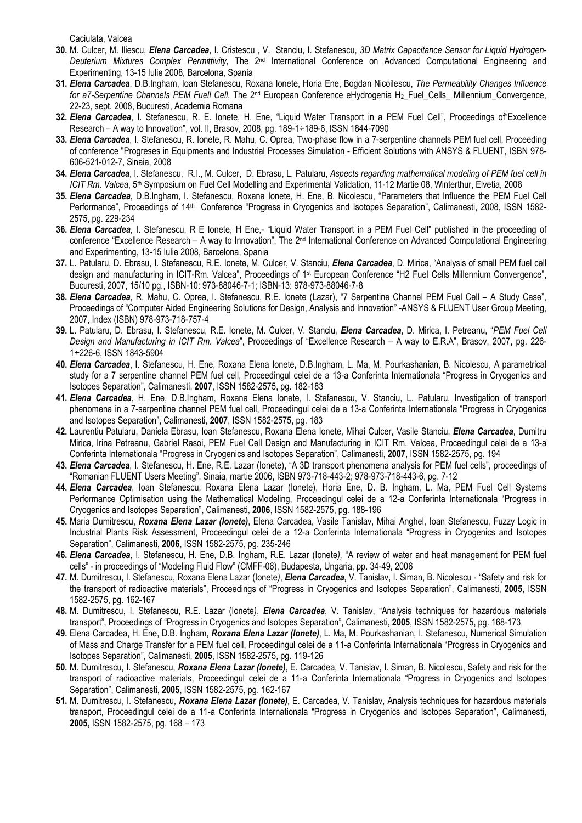Caciulata, Valcea

- 30. M. Culcer, M. Iliescu, Elena Carcadea, I. Cristescu, V. Stanciu, I. Stefanescu, 3D Matrix Capacitance Sensor for Liquid Hydrogen-Deuterium Mixtures Complex Permittivity, The 2<sup>nd</sup> International Conference on Advanced Computational Engineering and Experimenting, 13-15 Iulie 2008, Barcelona, Spania
- 31. Elena Carcadea, D.B.Ingham, Ioan Stefanescu, Roxana Ionete, Horia Ene, Bogdan Nicoilescu, The Permeability Changes Influence for a7-Serpentine Channels PEM Fuell Cell, The 2<sup>nd</sup> European Conference eHydrogenia H<sub>2</sub> Fuel Cells\_ Millennium\_Convergence, 22-23, sept. 2008, Bucuresti, Academia Romana
- 32. Elena Carcadea, I. Stefanescu, R. E. Ionete, H. Ene, "Liquid Water Transport in a PEM Fuel Cell", Proceedings of Excellence Research – A way to Innovation", vol. II, Brasov, 2008, pg. 189-1÷189-6, ISSN 1844-7090
- 33. Elena Carcadea, I. Stefanescu, R. Ionete, R. Mahu, C. Oprea, Two-phase flow in a 7-serpentine channels PEM fuel cell, Proceeding of conference "Progreses in Equipments and Industrial Processes Simulation - Efficient Solutions with ANSYS & FLUENT, ISBN 978- 606-521-012-7, Sinaia, 2008
- 34. Elena Carcadea, I. Stefanescu, R.I., M. Culcer, D. Ebrasu, L. Patularu, Aspects regarding mathematical modeling of PEM fuel cell in ICIT Rm. Valcea, 5<sup>th</sup> Symposium on Fuel Cell Modelling and Experimental Validation, 11-12 Martie 08, Winterthur, Elvetia, 2008
- 35. Elena Carcadea, D.B.Ingham, I. Stefanescu, Roxana Ionete, H. Ene, B. Nicolescu, "Parameters that Influence the PEM Fuel Cell Performance", Proceedings of 14<sup>th</sup> Conference "Progress in Cryogenics and Isotopes Separation", Calimanesti, 2008, ISSN 1582-2575, pg. 229-234
- 36. Elena Carcadea, I. Stefanescu, R E Ionete, H Ene,- "Liquid Water Transport in a PEM Fuel Cell" published in the proceeding of conference "Excellence Research – A way to Innovation", The 2<sup>nd</sup> International Conference on Advanced Computational Engineering and Experimenting, 13-15 Iulie 2008, Barcelona, Spania
- 37. L. Patularu, D. Ebrasu, I. Stefanescu, R.E. Ionete, M. Culcer, V. Stanciu, *Elena Carcadea*, D. Mirica, "Analysis of small PEM fuel cell design and manufacturing in ICIT-Rm. Valcea", Proceedings of 1st European Conference "H2 Fuel Cells Millennium Convergence", Bucuresti, 2007, 15/10 pg., ISBN-10: 973-88046-7-1; ISBN-13: 978-973-88046-7-8
- 38. Elena Carcadea, R. Mahu, C. Oprea, I. Stefanescu, R.E. Ionete (Lazar), "7 Serpentine Channel PEM Fuel Cell A Study Case", Proceedings of "Computer Aided Engineering Solutions for Design, Analysis and Innovation" -ANSYS & FLUENT User Group Meeting, 2007, Index (ISBN) 978-973-718-757-4
- 39. L. Patularu, D. Ebrasu, I. Stefanescu, R.E. Ionete, M. Culcer, V. Stanciu, *Elena Carcadea*, D. Mirica, I. Petreanu, "PEM Fuel Cell Design and Manufacturing in ICIT Rm. Valcea", Proceedings of "Excellence Research – A way to E.R.A", Brasov, 2007, pg. 226- 1÷226-6, ISSN 1843-5904
- 40. Elena Carcadea, I. Stefanescu, H. Ene, Roxana Elena Ionete, D.B.Ingham, L. Ma, M. Pourkashanian, B. Nicolescu, A parametrical study for a 7 serpentine channel PEM fuel cell, Proceedingul celei de a 13-a Conferinta Internationala "Progress in Cryogenics and Isotopes Separation", Calimanesti, 2007, ISSN 1582-2575, pg. 182-183
- 41. Elena Carcadea, H. Ene, D.B.Ingham, Roxana Elena Ionete, I. Stefanescu, V. Stanciu, L. Patularu, Investigation of transport phenomena in a 7-serpentine channel PEM fuel cell, Proceedingul celei de a 13-a Conferinta Internationala "Progress in Cryogenics and Isotopes Separation", Calimanesti, 2007, ISSN 1582-2575, pg. 183
- 42. Laurentiu Patularu, Daniela Ebrasu, Ioan Stefanescu, Roxana Elena Ionete, Mihai Culcer, Vasile Stanciu, Elena Carcadea, Dumitru Mirica, Irina Petreanu, Gabriel Rasoi, PEM Fuel Cell Design and Manufacturing in ICIT Rm. Valcea, Proceedingul celei de a 13-a Conferinta Internationala "Progress in Cryogenics and Isotopes Separation", Calimanesti, 2007, ISSN 1582-2575, pg. 194
- 43. Elena Carcadea, I. Stefanescu, H. Ene, R.E. Lazar (Ionete), "A 3D transport phenomena analysis for PEM fuel cells", proceedings of "Romanian FLUENT Users Meeting", Sinaia, martie 2006, ISBN 973-718-443-2; 978-973-718-443-6, pg. 7-12
- 44. Elena Carcadea, Ioan Stefanescu, Roxana Elena Lazar (Ionete), Horia Ene, D. B. Ingham, L. Ma, PEM Fuel Cell Systems Performance Optimisation using the Mathematical Modeling, Proceedingul celei de a 12-a Conferinta Internationala "Progress in Cryogenics and Isotopes Separation", Calimanesti, 2006, ISSN 1582-2575, pg. 188-196
- 45. Maria Dumitrescu, Roxana Elena Lazar (lonete), Elena Carcadea, Vasile Tanislav, Mihai Anghel, Ioan Stefanescu, Fuzzy Logic in Industrial Plants Risk Assessment, Proceedingul celei de a 12-a Conferinta Internationala "Progress in Cryogenics and Isotopes Separation", Calimanesti, 2006, ISSN 1582-2575, pg. 235-246
- 46. Elena Carcadea, I. Stefanescu, H. Ene, D.B. Ingham, R.E. Lazar (lonete), "A review of water and heat management for PEM fuel cells" - in proceedings of "Modeling Fluid Flow" (CMFF-06), Budapesta, Ungaria, pp. 34-49, 2006
- 47. M. Dumitrescu, I. Stefanescu, Roxana Elena Lazar (Ionete), *Elena Carcadea*, V. Tanislav, I. Siman, B. Nicolescu "Safety and risk for the transport of radioactive materials", Proceedings of "Progress in Cryogenics and Isotopes Separation", Calimanesti, 2005, ISSN 1582-2575, pg. 162-167
- 48. M. Dumitrescu, I. Stefanescu, R.E. Lazar (Ionete), *Elena Carcadea*, V. Tanislav, "Analysis techniques for hazardous materials transport", Proceedings of "Progress in Cryogenics and Isotopes Separation", Calimanesti, 2005, ISSN 1582-2575, pg. 168-173
- 49. Elena Carcadea, H. Ene, D.B. Ingham, Roxana Elena Lazar (Ionete), L. Ma, M. Pourkashanian, I. Stefanescu, Numerical Simulation of Mass and Charge Transfer for a PEM fuel cell, Proceedingul celei de a 11-a Conferinta Internationala "Progress in Cryogenics and Isotopes Separation", Calimanesti, 2005, ISSN 1582-2575, pg. 119-126
- 50. M. Dumitrescu, I. Stefanescu, Roxana Elena Lazar (lonete), E. Carcadea, V. Tanislav, I. Siman, B. Nicolescu, Safety and risk for the transport of radioactive materials, Proceedingul celei de a 11-a Conferinta Internationala "Progress in Cryogenics and Isotopes Separation", Calimanesti, 2005, ISSN 1582-2575, pg. 162-167
- 51. M. Dumitrescu, I. Stefanescu, Roxana Elena Lazar (Ionete), E. Carcadea, V. Tanislav, Analysis techniques for hazardous materials transport, Proceedingul celei de a 11-a Conferinta Internationala "Progress in Cryogenics and Isotopes Separation", Calimanesti, 2005, ISSN 1582-2575, pg. 168 – 173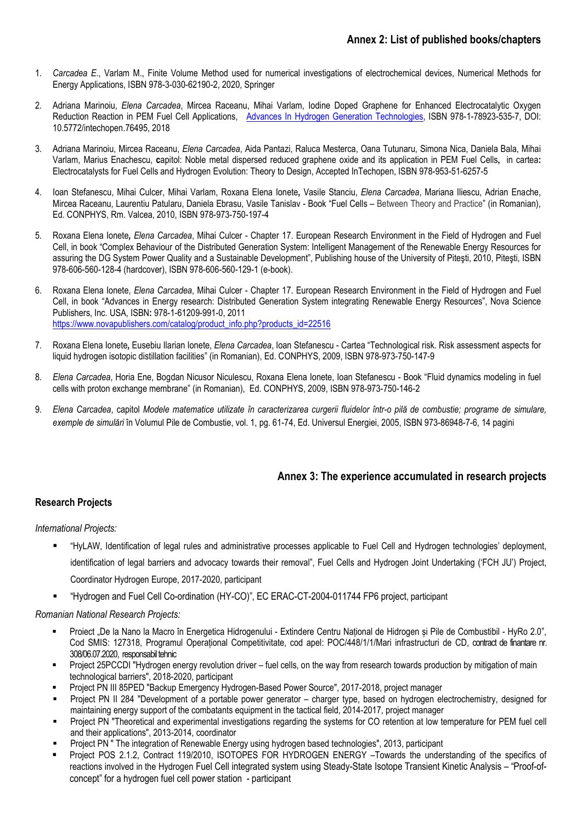- 1. Carcadea E., Varlam M., Finite Volume Method used for numerical investigations of electrochemical devices, Numerical Methods for Energy Applications, ISBN 978-3-030-62190-2, 2020, Springer
- 2. Adriana Marinoiu, Elena Carcadea, Mircea Raceanu, Mihai Varlam, Iodine Doped Graphene for Enhanced Electrocatalytic Oxygen Reduction Reaction in PEM Fuel Cell Applications, Advances In Hydrogen Generation Technologies, ISBN 978-1-78923-535-7, DOI: 10.5772/intechopen.76495, 2018
- 3. Adriana Marinoiu, Mircea Raceanu, Elena Carcadea, Aida Pantazi, Raluca Mesterca, Oana Tutunaru, Simona Nica, Daniela Bala, Mihai Varlam, Marius Enachescu, capitol: Noble metal dispersed reduced graphene oxide and its application in PEM Fuel Cells, in cartea: Electrocatalysts for Fuel Cells and Hydrogen Evolution: Theory to Design, Accepted InTechopen, ISBN 978-953-51-6257-5
- 4. Ioan Stefanescu, Mihai Culcer, Mihai Varlam, Roxana Elena Ionete, Vasile Stanciu, Elena Carcadea, Mariana Iliescu, Adrian Enache, Mircea Raceanu, Laurentiu Patularu, Daniela Ebrasu, Vasile Tanislav - Book "Fuel Cells – Between Theory and Practice" (in Romanian), Ed. CONPHYS, Rm. Valcea, 2010, ISBN 978-973-750-197-4
- 5. Roxana Elena Ionete, Elena Carcadea, Mihai Culcer Chapter 17. European Research Environment in the Field of Hydrogen and Fuel Cell, in book "Complex Behaviour of the Distributed Generation System: Intelligent Management of the Renewable Energy Resources for assuring the DG System Power Quality and a Sustainable Development", Publishing house of the University of Piteşti, 2010, Piteşti, ISBN 978-606-560-128-4 (hardcover), ISBN 978-606-560-129-1 (e-book).
- 6. Roxana Elena Ionete, Elena Carcadea, Mihai Culcer Chapter 17. European Research Environment in the Field of Hydrogen and Fuel Cell, in book "Advances in Energy research: Distributed Generation System integrating Renewable Energy Resources", Nova Science Publishers, Inc. USA, ISBN: 978-1-61209-991-0, 2011 https://www.novapublishers.com/catalog/product\_info.php?products\_id=22516
- 7. Roxana Elena Ionete, Eusebiu Ilarian Ionete, Elena Carcadea, Ioan Stefanescu Cartea "Technological risk. Risk assessment aspects for liquid hydrogen isotopic distillation facilities" (in Romanian), Ed. CONPHYS, 2009, ISBN 978-973-750-147-9
- 8. Elena Carcadea, Horia Ene, Bogdan Nicusor Niculescu, Roxana Elena Ionete, Ioan Stefanescu Book "Fluid dynamics modeling in fuel cells with proton exchange membrane" (in Romanian), Ed. CONPHYS, 2009, ISBN 978-973-750-146-2
- 9. Elena Carcadea, capitol Modele matematice utilizate în caracterizarea curgerii fluidelor într-o pilă de combustie; programe de simulare, exemple de simulări în Volumul Pile de Combustie, vol. 1, pg. 61-74, Ed. Universul Energiei, 2005, ISBN 973-86948-7-6, 14 pagini

# Annex 3: The experience accumulated in research projects

# Research Projects

#### International Projects:

- "HyLAW, Identification of legal rules and administrative processes applicable to Fuel Cell and Hydrogen technologies' deployment, identification of legal barriers and advocacy towards their removal", Fuel Cells and Hydrogen Joint Undertaking ('FCH JU') Project, Coordinator Hydrogen Europe, 2017-2020, participant
- "Hydrogen and Fuel Cell Co-ordination (HY-CO)", EC ERAC-CT-2004-011744 FP6 project, participant

#### Romanian National Research Projects:

- Proiect "De la Nano la Macro în Energetica Hidrogenului Extindere Centru Național de Hidrogen și Pile de Combustibil HyRo 2.0", Cod SMIS: 127318, Programul Operațional Competitivitate, cod apel: POC/448/1/1/Mari infrastructuri de CD, contract de finantare nr. 308/06.07.2020, responsabil tehnic
- Project 25PCCDI "Hydrogen energy revolution driver fuel cells, on the way from research towards production by mitigation of main technological barriers", 2018-2020, participant
- Project PN III 85PED "Backup Emergency Hydrogen-Based Power Source", 2017-2018, project manager
- Project PN II 284 "Development of a portable power generator charger type, based on hydrogen electrochemistry, designed for maintaining energy support of the combatants equipment in the tactical field, 2014-2017, project manager
- Project PN "Theoretical and experimental investigations regarding the systems for CO retention at low temperature for PEM fuel cell and their applications", 2013-2014, coordinator
- Project PN " The integration of Renewable Energy using hydrogen based technologies", 2013, participant
- Project POS 2.1.2, Contract 119/2010, ISOTOPES FOR HYDROGEN ENERGY –Towards the understanding of the specifics of reactions involved in the Hydrogen Fuel Cell integrated system using Steady-State Isotope Transient Kinetic Analysis – "Proof-ofconcept" for a hydrogen fuel cell power station - participant